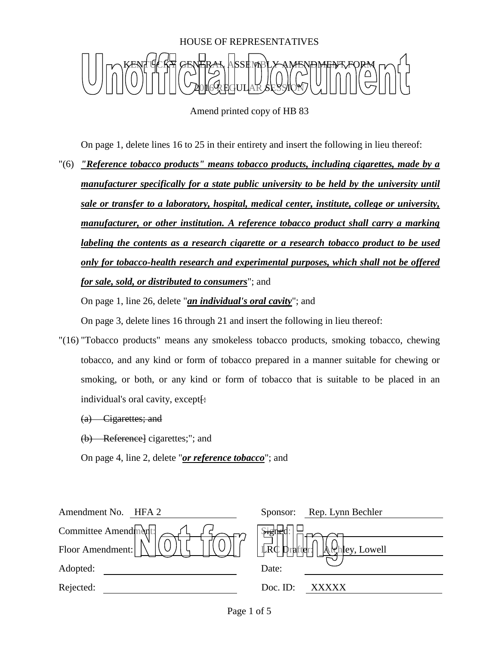

Amend printed copy of HB 83

On page 1, delete lines 16 to 25 in their entirety and insert the following in lieu thereof:

"(6) *"Reference tobacco products" means tobacco products, including cigarettes, made by a manufacturer specifically for a state public university to be held by the university until sale or transfer to a laboratory, hospital, medical center, institute, college or university, manufacturer, or other institution. A reference tobacco product shall carry a marking labeling the contents as a research cigarette or a research tobacco product to be used only for tobacco-health research and experimental purposes, which shall not be offered for sale, sold, or distributed to consumers*"; and

On page 1, line 26, delete "*an individual's oral cavity*"; and

On page 3, delete lines 16 through 21 and insert the following in lieu thereof:

"(16) "Tobacco products" means any smokeless tobacco products, smoking tobacco, chewing tobacco, and any kind or form of tobacco prepared in a manner suitable for chewing or smoking, or both, or any kind or form of tobacco that is suitable to be placed in an individual's oral cavity, except $\vdash$ 

(a) Cigarettes; and

(b) Reference] cigarettes;"; and

On page 4, line 2, delete "*or reference tobacco*"; and

| Amendment No. HFA 2 | Rep. Lynn Bechler<br>Sponsor:               |
|---------------------|---------------------------------------------|
| Committee Amend $m$ | ्रम्हा                                      |
| Floor Amendment:    | $\Box$ Prafter: $\Box$ $\Box$ Phley, Lowell |
| Adopted:            | Date:                                       |
| Rejected:           | Doc. $ID$ :<br><b>XXXXX</b>                 |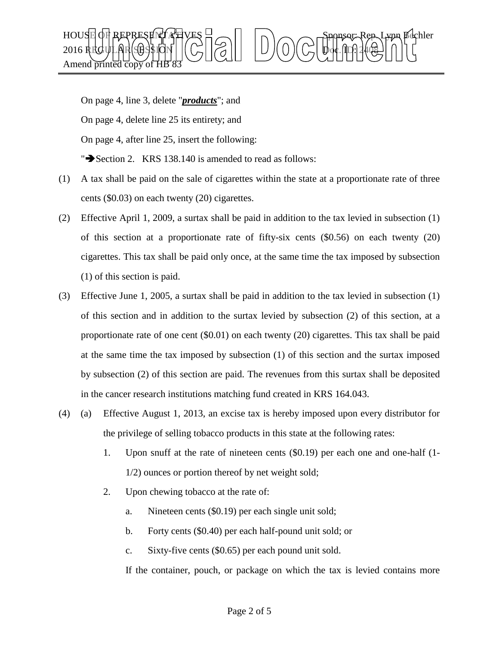

On page 4, line 3, delete "*products*"; and On page 4, delete line 25 its entirety; and On page 4, after line 25, insert the following: " $\blacktriangleright$  Section 2. KRS 138.140 is amended to read as follows:

- (1) A tax shall be paid on the sale of cigarettes within the state at a proportionate rate of three cents (\$0.03) on each twenty (20) cigarettes.
- (2) Effective April 1, 2009, a surtax shall be paid in addition to the tax levied in subsection (1) of this section at a proportionate rate of fifty-six cents (\$0.56) on each twenty (20) cigarettes. This tax shall be paid only once, at the same time the tax imposed by subsection (1) of this section is paid.
- (3) Effective June 1, 2005, a surtax shall be paid in addition to the tax levied in subsection (1) of this section and in addition to the surtax levied by subsection (2) of this section, at a proportionate rate of one cent (\$0.01) on each twenty (20) cigarettes. This tax shall be paid at the same time the tax imposed by subsection (1) of this section and the surtax imposed by subsection (2) of this section are paid. The revenues from this surtax shall be deposited in the cancer research institutions matching fund created in KRS 164.043.
- (4) (a) Effective August 1, 2013, an excise tax is hereby imposed upon every distributor for the privilege of selling tobacco products in this state at the following rates:
	- 1. Upon snuff at the rate of nineteen cents (\$0.19) per each one and one-half (1- 1/2) ounces or portion thereof by net weight sold;
	- 2. Upon chewing tobacco at the rate of:
		- a. Nineteen cents (\$0.19) per each single unit sold;
		- b. Forty cents (\$0.40) per each half-pound unit sold; or
		- c. Sixty-five cents (\$0.65) per each pound unit sold.

If the container, pouch, or package on which the tax is levied contains more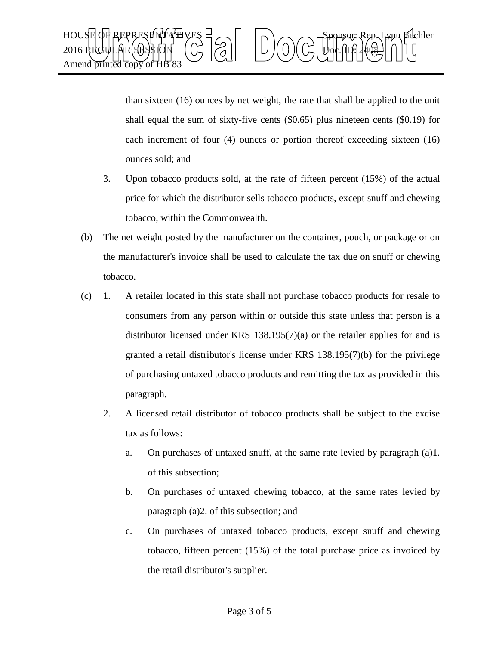

than sixteen (16) ounces by net weight, the rate that shall be applied to the unit shall equal the sum of sixty-five cents (\$0.65) plus nineteen cents (\$0.19) for each increment of four (4) ounces or portion thereof exceeding sixteen (16) ounces sold; and

- 3. Upon tobacco products sold, at the rate of fifteen percent (15%) of the actual price for which the distributor sells tobacco products, except snuff and chewing tobacco, within the Commonwealth.
- (b) The net weight posted by the manufacturer on the container, pouch, or package or on the manufacturer's invoice shall be used to calculate the tax due on snuff or chewing tobacco.
- (c) 1. A retailer located in this state shall not purchase tobacco products for resale to consumers from any person within or outside this state unless that person is a distributor licensed under KRS 138.195(7)(a) or the retailer applies for and is granted a retail distributor's license under KRS 138.195(7)(b) for the privilege of purchasing untaxed tobacco products and remitting the tax as provided in this paragraph.
	- 2. A licensed retail distributor of tobacco products shall be subject to the excise tax as follows:
		- a. On purchases of untaxed snuff, at the same rate levied by paragraph (a)1. of this subsection;
		- b. On purchases of untaxed chewing tobacco, at the same rates levied by paragraph (a)2. of this subsection; and
		- c. On purchases of untaxed tobacco products, except snuff and chewing tobacco, fifteen percent (15%) of the total purchase price as invoiced by the retail distributor's supplier.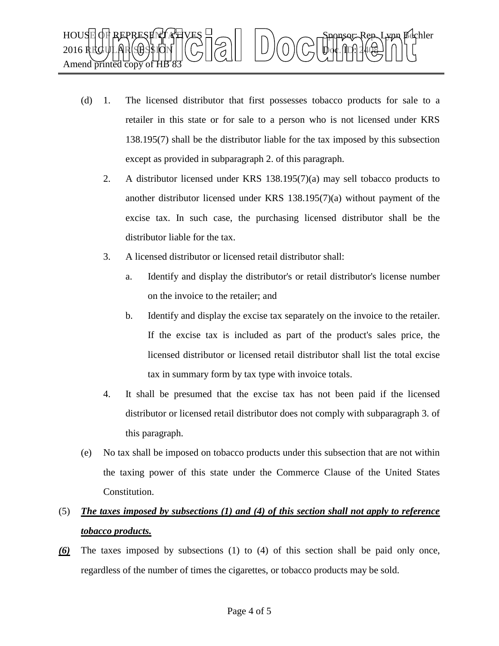

- (d) 1. The licensed distributor that first possesses tobacco products for sale to a retailer in this state or for sale to a person who is not licensed under KRS 138.195(7) shall be the distributor liable for the tax imposed by this subsection except as provided in subparagraph 2. of this paragraph.
	- 2. A distributor licensed under KRS 138.195(7)(a) may sell tobacco products to another distributor licensed under KRS 138.195(7)(a) without payment of the excise tax. In such case, the purchasing licensed distributor shall be the distributor liable for the tax.
	- 3. A licensed distributor or licensed retail distributor shall:
		- a. Identify and display the distributor's or retail distributor's license number on the invoice to the retailer; and
		- b. Identify and display the excise tax separately on the invoice to the retailer. If the excise tax is included as part of the product's sales price, the licensed distributor or licensed retail distributor shall list the total excise tax in summary form by tax type with invoice totals.
	- 4. It shall be presumed that the excise tax has not been paid if the licensed distributor or licensed retail distributor does not comply with subparagraph 3. of this paragraph.
- (e) No tax shall be imposed on tobacco products under this subsection that are not within the taxing power of this state under the Commerce Clause of the United States Constitution.

## (5) *The taxes imposed by subsections (1) and (4) of this section shall not apply to reference tobacco products.*

*(6)* The taxes imposed by subsections (1) to (4) of this section shall be paid only once, regardless of the number of times the cigarettes, or tobacco products may be sold.